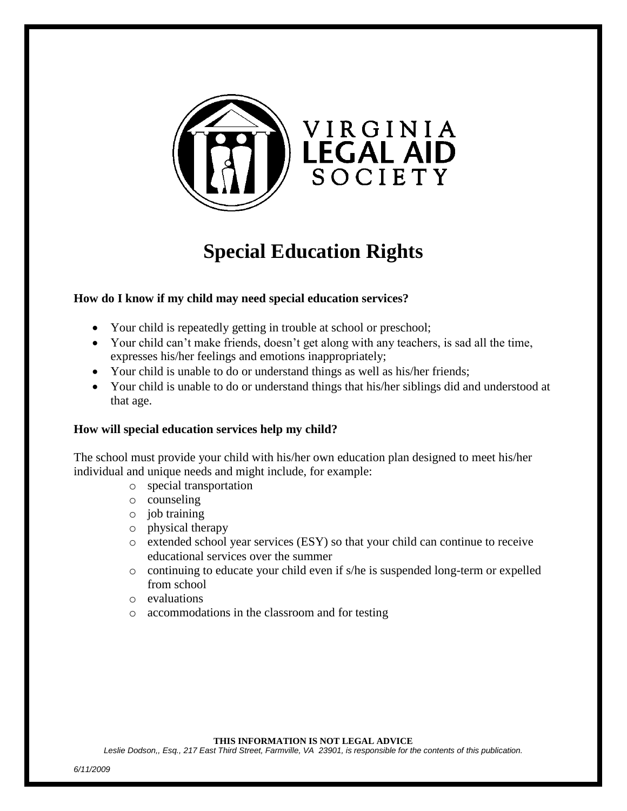

# **Special Education Rights**

# **How do I know if my child may need special education services?**

- Your child is repeatedly getting in trouble at school or preschool;
- Your child can't make friends, doesn't get along with any teachers, is sad all the time, expresses his/her feelings and emotions inappropriately;
- Your child is unable to do or understand things as well as his/her friends;
- Your child is unable to do or understand things that his/her siblings did and understood at that age.

# **How will special education services help my child?**

The school must provide your child with his/her own education plan designed to meet his/her individual and unique needs and might include, for example:

- o special transportation
- o counseling
- o job training
- o physical therapy
- o extended school year services (ESY) so that your child can continue to receive educational services over the summer
- $\circ$  continuing to educate your child even if s/he is suspended long-term or expelled from school
- o evaluations
- o accommodations in the classroom and for testing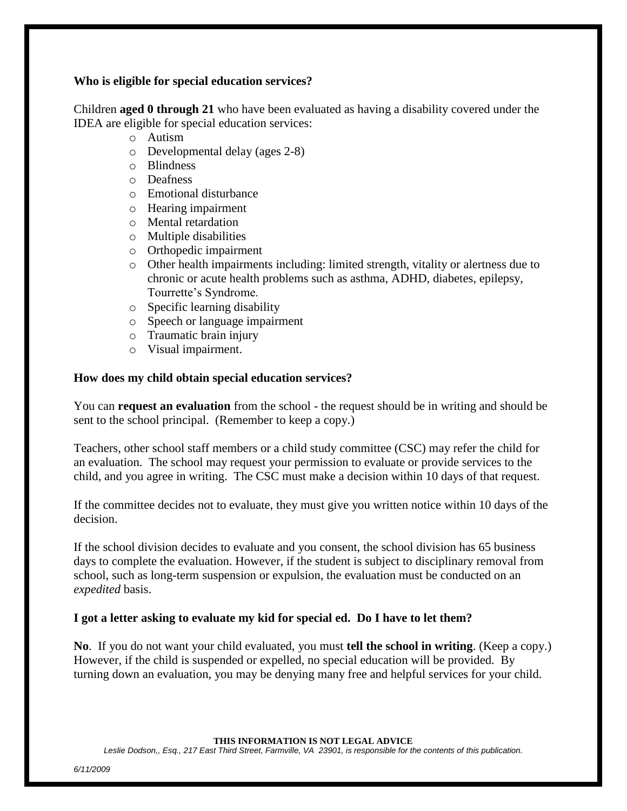# **Who is eligible for special education services?**

Children **aged 0 through 21** who have been evaluated as having a disability covered under the IDEA are eligible for special education services:

- o Autism
- o Developmental delay (ages 2-8)
- o Blindness
- o Deafness
- o Emotional disturbance
- o Hearing impairment
- o Mental retardation
- o Multiple disabilities
- o Orthopedic impairment
- o Other health impairments including: limited strength, vitality or alertness due to chronic or acute health problems such as asthma, ADHD, diabetes, epilepsy, Tourrette's Syndrome.
- o Specific learning disability
- o Speech or language impairment
- o Traumatic brain injury
- o Visual impairment.

# **How does my child obtain special education services?**

You can **request an evaluation** from the school - the request should be in writing and should be sent to the school principal. (Remember to keep a copy.)

Teachers, other school staff members or a child study committee (CSC) may refer the child for an evaluation. The school may request your permission to evaluate or provide services to the child, and you agree in writing. The CSC must make a decision within 10 days of that request.

If the committee decides not to evaluate, they must give you written notice within 10 days of the decision.

If the school division decides to evaluate and you consent, the school division has 65 business days to complete the evaluation. However, if the student is subject to disciplinary removal from school, such as long-term suspension or expulsion, the evaluation must be conducted on an *expedited* basis.

# **I got a letter asking to evaluate my kid for special ed. Do I have to let them?**

**No**. If you do not want your child evaluated, you must **tell the school in writing**. (Keep a copy.) However, if the child is suspended or expelled, no special education will be provided. By turning down an evaluation, you may be denying many free and helpful services for your child.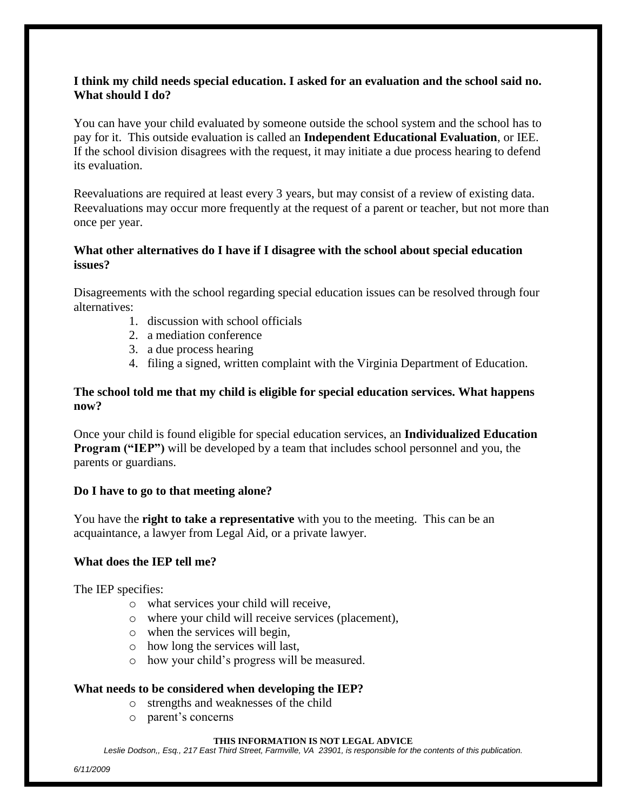# **I think my child needs special education. I asked for an evaluation and the school said no. What should I do?**

You can have your child evaluated by someone outside the school system and the school has to pay for it. This outside evaluation is called an **Independent Educational Evaluation**, or IEE. If the school division disagrees with the request, it may initiate a due process hearing to defend its evaluation.

Reevaluations are required at least every 3 years, but may consist of a review of existing data. Reevaluations may occur more frequently at the request of a parent or teacher, but not more than once per year.

# **What other alternatives do I have if I disagree with the school about special education issues?**

Disagreements with the school regarding special education issues can be resolved through four alternatives:

- 1. discussion with school officials
- 2. a mediation conference
- 3. a due process hearing
- 4. filing a signed, written complaint with the Virginia Department of Education.

# **The school told me that my child is eligible for special education services. What happens now?**

Once your child is found eligible for special education services, an **Individualized Education Program ("IEP")** will be developed by a team that includes school personnel and you, the parents or guardians.

# **Do I have to go to that meeting alone?**

You have the **right to take a representative** with you to the meeting. This can be an acquaintance, a lawyer from Legal Aid, or a private lawyer.

# **What does the IEP tell me?**

The IEP specifies:

- o what services your child will receive,
- o where your child will receive services (placement),
- o when the services will begin,
- o how long the services will last,
- o how your child's progress will be measured.

# **What needs to be considered when developing the IEP?**

- o strengths and weaknesses of the child
- o parent's concerns

#### **THIS INFORMATION IS NOT LEGAL ADVICE**

*Leslie Dodson,, Esq., 217 East Third Street, Farmville, VA 23901, is responsible for the contents of this publication.*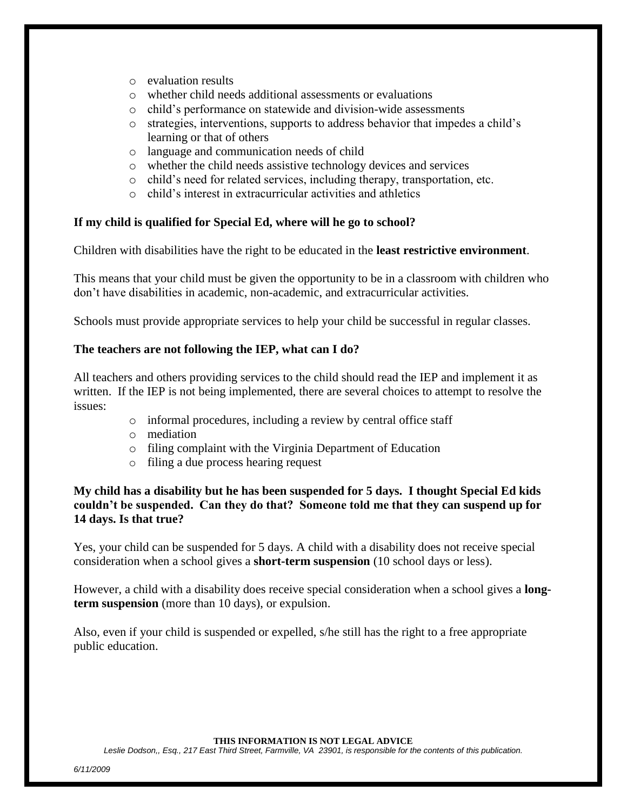- o evaluation results
- o whether child needs additional assessments or evaluations
- o child's performance on statewide and division-wide assessments
- o strategies, interventions, supports to address behavior that impedes a child's learning or that of others
- o language and communication needs of child
- o whether the child needs assistive technology devices and services
- o child's need for related services, including therapy, transportation, etc.
- o child's interest in extracurricular activities and athletics

# **If my child is qualified for Special Ed, where will he go to school?**

Children with disabilities have the right to be educated in the **least restrictive environment**.

This means that your child must be given the opportunity to be in a classroom with children who don't have disabilities in academic, non-academic, and extracurricular activities.

Schools must provide appropriate services to help your child be successful in regular classes.

# **The teachers are not following the IEP, what can I do?**

All teachers and others providing services to the child should read the IEP and implement it as written. If the IEP is not being implemented, there are several choices to attempt to resolve the issues:

- o informal procedures, including a review by central office staff
- o mediation
- o filing complaint with the Virginia Department of Education
- o filing a due process hearing request

# **My child has a disability but he has been suspended for 5 days. I thought Special Ed kids couldn't be suspended. Can they do that? Someone told me that they can suspend up for 14 days. Is that true?**

Yes, your child can be suspended for 5 days. A child with a disability does not receive special consideration when a school gives a **short-term suspension** (10 school days or less).

However, a child with a disability does receive special consideration when a school gives a **longterm suspension** (more than 10 days), or expulsion.

Also, even if your child is suspended or expelled, s/he still has the right to a free appropriate public education.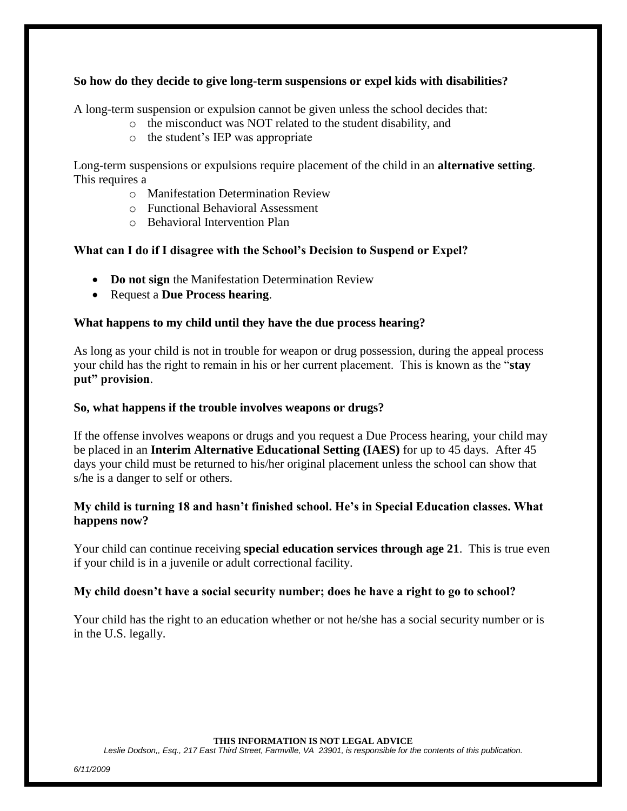# **So how do they decide to give long-term suspensions or expel kids with disabilities?**

A long-term suspension or expulsion cannot be given unless the school decides that:

- o the misconduct was NOT related to the student disability, and
- o the student's IEP was appropriate

Long-term suspensions or expulsions require placement of the child in an **alternative setting**. This requires a

- o Manifestation Determination Review
- o Functional Behavioral Assessment
- o Behavioral Intervention Plan

# **What can I do if I disagree with the School's Decision to Suspend or Expel?**

- **Do not sign** the Manifestation Determination Review
- Request a **Due Process hearing**.

# **What happens to my child until they have the due process hearing?**

As long as your child is not in trouble for weapon or drug possession, during the appeal process your child has the right to remain in his or her current placement. This is known as the "**stay put" provision**.

# **So, what happens if the trouble involves weapons or drugs?**

If the offense involves weapons or drugs and you request a Due Process hearing, your child may be placed in an **Interim Alternative Educational Setting (IAES)** for up to 45 days. After 45 days your child must be returned to his/her original placement unless the school can show that s/he is a danger to self or others.

# **My child is turning 18 and hasn't finished school. He's in Special Education classes. What happens now?**

Your child can continue receiving **special education services through age 21**. This is true even if your child is in a juvenile or adult correctional facility.

# **My child doesn't have a social security number; does he have a right to go to school?**

Your child has the right to an education whether or not he/she has a social security number or is in the U.S. legally.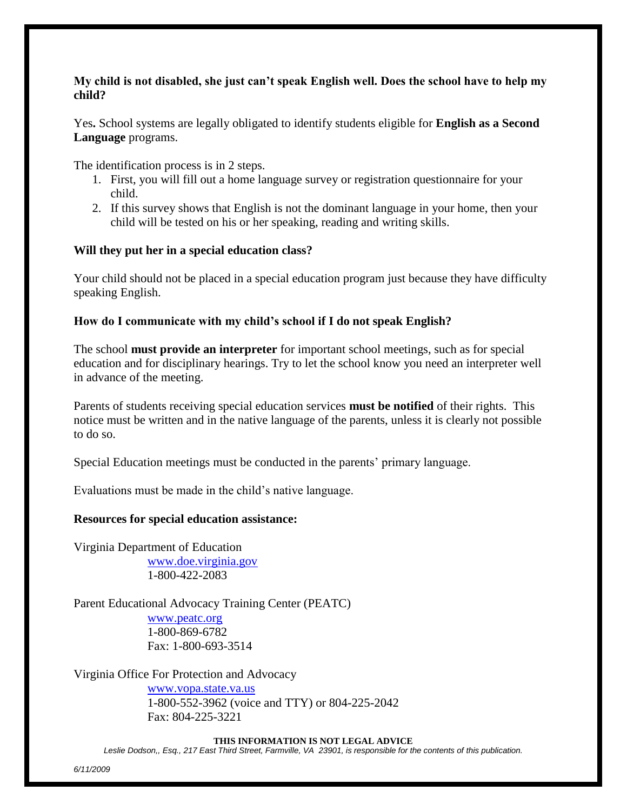# **My child is not disabled, she just can't speak English well. Does the school have to help my child?**

Yes**.** School systems are legally obligated to identify students eligible for **English as a Second Language** programs.

The identification process is in 2 steps.

- 1. First, you will fill out a home language survey or registration questionnaire for your child.
- 2. If this survey shows that English is not the dominant language in your home, then your child will be tested on his or her speaking, reading and writing skills.

# **Will they put her in a special education class?**

Your child should not be placed in a special education program just because they have difficulty speaking English.

# **How do I communicate with my child's school if I do not speak English?**

The school **must provide an interpreter** for important school meetings, such as for special education and for disciplinary hearings. Try to let the school know you need an interpreter well in advance of the meeting.

Parents of students receiving special education services **must be notified** of their rights. This notice must be written and in the native language of the parents, unless it is clearly not possible to do so.

Special Education meetings must be conducted in the parents' primary language.

Evaluations must be made in the child's native language.

#### **Resources for special education assistance:**

Virginia Department of Education [www.doe.virginia.gov](http://www.doe.virginia.gov/) 1-800-422-2083

Parent Educational Advocacy Training Center (PEATC)

[www.peatc.org](http://www.peatc.org/) 1-800-869-6782 Fax: 1-800-693-3514

Virginia Office For Protection and Advocacy

[www.vopa.state.va.us](http://www.vopa.state.va.us/) 1-800-552-3962 (voice and TTY) or 804-225-2042 Fax: 804-225-3221

#### **THIS INFORMATION IS NOT LEGAL ADVICE**

*Leslie Dodson,, Esq., 217 East Third Street, Farmville, VA 23901, is responsible for the contents of this publication.*

*6/11/2009*